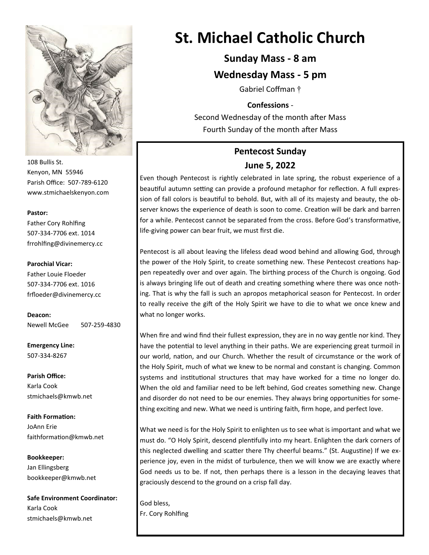

108 Bullis St. Kenyon, MN 55946 Parish Office: 507-789-6120 www.stmichaelskenyon.com

#### **Pastor:**

Father Cory Rohlfing 507-334-7706 ext. 1014 frrohlfing@divinemercy.cc

#### **Parochial Vicar:**

Father Louie Floeder 507-334-7706 ext. 1016 frfloeder@divinemercy.cc

**Deacon:**  Newell McGee 507-259-4830

**Emergency Line:** 507-334-8267

**Parish Office:**  Karla Cook stmichaels@kmwb.net

**Faith Formation:**  JoAnn Erie faithformation@kmwb.net

**Bookkeeper:**  Jan Ellingsberg bookkeeper@kmwb.net

**Safe Environment Coordinator:** Karla Cook stmichaels@kmwb.net

# **St. Michael Catholic Church**

## **Sunday Mass - 8 am**

## **Wednesday Mass - 5 pm**

Gabriel Coffman †

### **Confessions** -

Second Wednesday of the month after Mass Fourth Sunday of the month after Mass

## **Pentecost Sunday June 5, 2022**

Even though Pentecost is rightly celebrated in late spring, the robust experience of a beautiful autumn setting can provide a profound metaphor for reflection. A full expression of fall colors is beautiful to behold. But, with all of its majesty and beauty, the observer knows the experience of death is soon to come. Creation will be dark and barren for a while. Pentecost cannot be separated from the cross. Before God's transformative, life-giving power can bear fruit, we must first die.

Pentecost is all about leaving the lifeless dead wood behind and allowing God, through the power of the Holy Spirit, to create something new. These Pentecost creations happen repeatedly over and over again. The birthing process of the Church is ongoing. God is always bringing life out of death and creating something where there was once nothing. That is why the fall is such an apropos metaphorical season for Pentecost. In order to really receive the gift of the Holy Spirit we have to die to what we once knew and what no longer works.

When fire and wind find their fullest expression, they are in no way gentle nor kind. They have the potential to level anything in their paths. We are experiencing great turmoil in our world, nation, and our Church. Whether the result of circumstance or the work of the Holy Spirit, much of what we knew to be normal and constant is changing. Common systems and institutional structures that may have worked for a time no longer do. When the old and familiar need to be left behind, God creates something new. Change and disorder do not need to be our enemies. They always bring opportunities for something exciting and new. What we need is untiring faith, firm hope, and perfect love.

What we need is for the Holy Spirit to enlighten us to see what is important and what we must do. "O Holy Spirit, descend plentifully into my heart. Enlighten the dark corners of this neglected dwelling and scatter there Thy cheerful beams." (St. Augustine) If we experience joy, even in the midst of turbulence, then we will know we are exactly where God needs us to be. If not, then perhaps there is a lesson in the decaying leaves that graciously descend to the ground on a crisp fall day.

God bless, Fr. Cory Rohlfing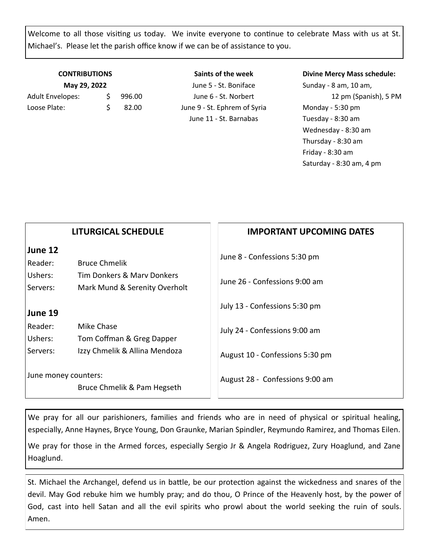Welcome to all those visiting us today. We invite everyone to continue to celebrate Mass with us at St. Michael's. Please let the parish office know if we can be of assistance to you.

| <b>CONTRIBUTIONS</b> |        |  |  |  |
|----------------------|--------|--|--|--|
| May 29, 2022         |        |  |  |  |
| S.                   | 996.00 |  |  |  |
| S.                   | 82.00  |  |  |  |
|                      |        |  |  |  |

**Saints of the week** June 5 - St. Boniface June 6 - St. Norbert June 9 - St. Ephrem of Syria June 11 - St. Barnabas

#### **Divine Mercy Mass schedule:**

Sunday - 8 am, 10 am, 12 pm (Spanish), 5 PM Monday - 5:30 pm Tuesday - 8:30 am Wednesday - 8:30 am Thursday - 8:30 am Friday - 8:30 am Saturday - 8:30 am, 4 pm

|                               | <b>LITURGICAL SCHEDULE</b>                         | <b>IMPORTANT UPCOMING DATES</b>                               |
|-------------------------------|----------------------------------------------------|---------------------------------------------------------------|
| June 12<br>Reader:<br>Ushers: | <b>Bruce Chmelik</b><br>Tim Donkers & Mary Donkers | June 8 - Confessions 5:30 pm<br>June 26 - Confessions 9:00 am |
| Servers:<br>June 19           | Mark Mund & Serenity Overholt                      | July 13 - Confessions 5:30 pm                                 |
| Reader:<br>Ushers:            | Mike Chase<br>Tom Coffman & Greg Dapper            | July 24 - Confessions 9:00 am                                 |
| Servers:                      | Izzy Chmelik & Allina Mendoza                      | August 10 - Confessions 5:30 pm                               |
| June money counters:          | Bruce Chmelik & Pam Hegseth                        | August 28 - Confessions 9:00 am                               |

We pray for all our parishioners, families and friends who are in need of physical or spiritual healing, especially, Anne Haynes, Bryce Young, Don Graunke, Marian Spindler, Reymundo Ramirez, and Thomas Eilen.

We pray for those in the Armed forces, especially Sergio Jr & Angela Rodriguez, Zury Hoaglund, and Zane Hoaglund.

St. Michael the Archangel, defend us in battle, be our protection against the wickedness and snares of the devil. May God rebuke him we humbly pray; and do thou, O Prince of the Heavenly host, by the power of God, cast into hell Satan and all the evil spirits who prowl about the world seeking the ruin of souls. Amen.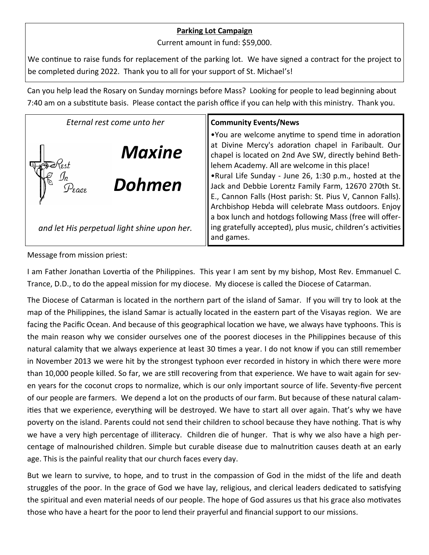## **Parking Lot Campaign**

Current amount in fund: \$59,000.

We continue to raise funds for replacement of the parking lot. We have signed a contract for the project to be completed during 2022. Thank you to all for your support of St. Michael's!

Can you help lead the Rosary on Sunday mornings before Mass? Looking for people to lead beginning about 7:40 am on a substitute basis. Please contact the parish office if you can help with this ministry. Thank you.

| Eternal rest come unto her                  | <b>Community Events/News</b>                                                                                                                                                                                                        |
|---------------------------------------------|-------------------------------------------------------------------------------------------------------------------------------------------------------------------------------------------------------------------------------------|
| <b>Maxine</b><br>Dohmen                     | .You are welcome anytime to spend time in adoration<br>at Divine Mercy's adoration chapel in Faribault. Our<br>chapel is located on 2nd Ave SW, directly behind Beth-<br>lehem Academy. All are welcome in this place!              |
|                                             | .Rural Life Sunday - June 26, 1:30 p.m., hosted at the<br>Jack and Debbie Lorentz Family Farm, 12670 270th St.<br>E., Cannon Falls (Host parish: St. Pius V, Cannon Falls).<br>Archbishop Hebda will celebrate Mass outdoors. Enjoy |
| and let His perpetual light shine upon her. | a box lunch and hotdogs following Mass (free will offer-<br>ing gratefully accepted), plus music, children's activities<br>and games.                                                                                               |

Message from mission priest:

I am Father Jonathan Lovertia of the Philippines. This year I am sent by my bishop, Most Rev. Emmanuel C. Trance, D.D., to do the appeal mission for my diocese. My diocese is called the Diocese of Catarman.

The Diocese of Catarman is located in the northern part of the island of Samar. If you will try to look at the map of the Philippines, the island Samar is actually located in the eastern part of the Visayas region. We are facing the Pacific Ocean. And because of this geographical location we have, we always have typhoons. This is the main reason why we consider ourselves one of the poorest dioceses in the Philippines because of this natural calamity that we always experience at least 30 times a year. I do not know if you can still remember in November 2013 we were hit by the strongest typhoon ever recorded in history in which there were more than 10,000 people killed. So far, we are still recovering from that experience. We have to wait again for seven years for the coconut crops to normalize, which is our only important source of life. Seventy-five percent of our people are farmers. We depend a lot on the products of our farm. But because of these natural calamities that we experience, everything will be destroyed. We have to start all over again. That's why we have poverty on the island. Parents could not send their children to school because they have nothing. That is why we have a very high percentage of illiteracy. Children die of hunger. That is why we also have a high percentage of malnourished children. Simple but curable disease due to malnutrition causes death at an early age. This is the painful reality that our church faces every day.

But we learn to survive, to hope, and to trust in the compassion of God in the midst of the life and death struggles of the poor. In the grace of God we have lay, religious, and clerical leaders dedicated to satisfying the spiritual and even material needs of our people. The hope of God assures us that his grace also motivates those who have a heart for the poor to lend their prayerful and financial support to our missions.